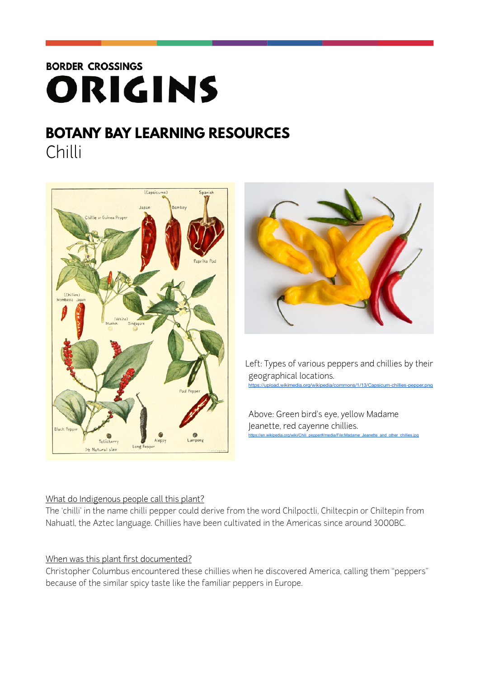# **BORDER CROSSINGS** ORIGINS

# **BOTANY BAY LEARNING RESOURCES** Chilli





 Left: Types of various peppers and chillies by their geographical locations. <https://upload.wikimedia.org/wikipedia/commons/1/13/Capsicum-chillies-pepper.png>

Above: Green bird's eye, yellow Madame Jeanette, red cayenne chillies. and other chillies.jpg

#### What do Indigenous people call this plant?

The 'chilli' in the name chilli pepper could derive from the word Chilpoctli, Chiltecpin or Chiltepin from Nahuatl, the Aztec language. Chillies have been cultivated in the Americas since around 3000BC.

#### When was this plant first documented?

Christopher Columbus encountered these chillies when he discovered America, calling them "peppers" because of the similar spicy taste like the familiar peppers in Europe.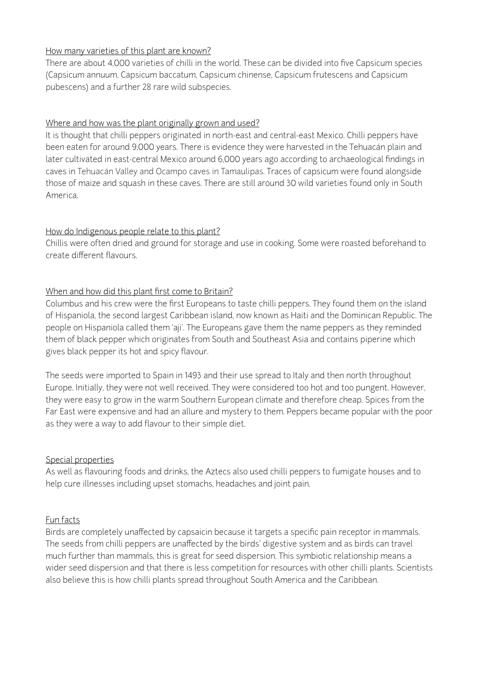## How many varieties of this plant are known?

There are about 4,000 varieties of chilli in the world. These can be divided into five Capsicum species (Capsicum annuum, Capsicum baccatum, Capsicum chinense, Capsicum frutescens and Capsicum pubescens) and a further 28 rare wild subspecies.

## Where and how was the plant originally grown and used?

It is thought that chilli peppers originated in north-east and central-east Mexico. Chilli peppers have been eaten for around 9,000 years. There is evidence they were harvested in the Tehuacán plain and later cultivated in east-central Mexico around 6,000 years ago according to archaeological findings in caves in Tehuacán Valley and Ocampo caves in Tamaulipas. Traces of capsicum were found alongside those of maize and squash in these caves. There are still around 30 wild varieties found only in South America.

## How do Indigenous people relate to this plant?

Chillis were often dried and ground for storage and use in cooking. Some were roasted beforehand to create different flavours.

## When and how did this plant first come to Britain?

Columbus and his crew were the first Europeans to taste chilli peppers. They found them on the island of Hispaniola, the second largest Caribbean island, now known as Haiti and the Dominican Republic. The people on Hispaniola called them 'aji'. The Europeans gave them the name peppers as they reminded them of black pepper which originates from South and Southeast Asia and contains piperine which gives black pepper its hot and spicy flavour.

The seeds were imported to Spain in 1493 and their use spread to Italy and then north throughout Europe. Initially, they were not well received. They were considered too hot and too pungent. However, they were easy to grow in the warm Southern European climate and therefore cheap. Spices from the Far East were expensive and had an allure and mystery to them. Peppers became popular with the poor as they were a way to add flavour to their simple diet.

#### Special properties

As well as flavouring foods and drinks, the Aztecs also used chilli peppers to fumigate houses and to help cure illnesses including upset stomachs, headaches and joint pain.

# Fun facts

Birds are completely unaffected by capsaicin because it targets a specific pain receptor in mammals. The seeds from chilli peppers are unaffected by the birds' digestive system and as birds can travel much further than mammals, this is great for seed dispersion. This symbiotic relationship means a wider seed dispersion and that there is less competition for resources with other chilli plants. Scientists also believe this is how chilli plants spread throughout South America and the Caribbean.